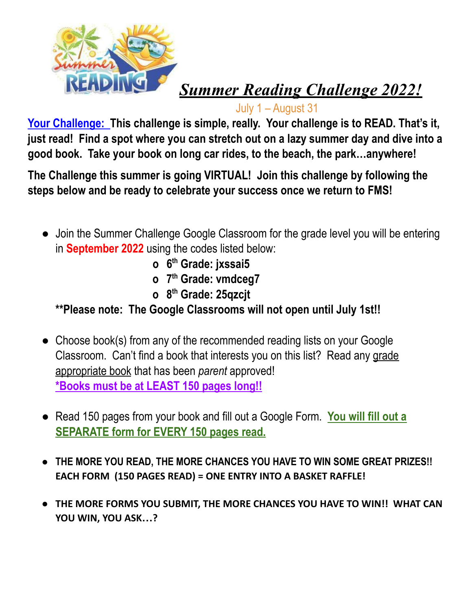

## *Summer Reading Challenge 2022!*

July 1 – August 31

 **Your Challenge: This challenge is simple, really. Your challenge is to READ. That's it,** just read! Find a spot where you can stretch out on a lazy summer day and dive into a  **good book. Take your book on long car rides, to the beach, the park…anywhere!**

 **The Challenge this summer is going VIRTUAL! Join this challenge by following the steps below and be ready to celebrate your success once we return to FMS!**

- **●** Join the Summer Challenge Google Classroom for the grade level you will be entering in **September 2022** using the codes listed below:
	- **o 6th Grade: jxssai5**
	- **o 7th Grade: vmdceg7**
	- **o 8th Grade: 25qzcjt**

 **\*\*Please note: The Google Classrooms will not open until July 1st!!**

- ● Choose book(s) from any of the recommended reading lists on your Google Classroom. Can't find a book that interests you on this list? Read any grade appropriate book that has been *parent* approved!  **\*Books must be at LEAST 150 pages long!!**
- ● Read 150 pages from your book and fill out a Google Form. **You will fill out a SEPARATE form for EVERY 150 pages read.**
- **THE MORE YOU READ, THE MORE CHANCES YOU HAVE TO WIN SOME GREAT PRIZES!! EACH FORM (150 PAGES READ) = ONE ENTRY INTO A BASKET RAFFLE!**
- **THE MORE FORMS YOU SUBMIT, THE MORE CHANCES YOU HAVE TO WIN!! WHAT CAN YOU WIN, YOU ASK…?**